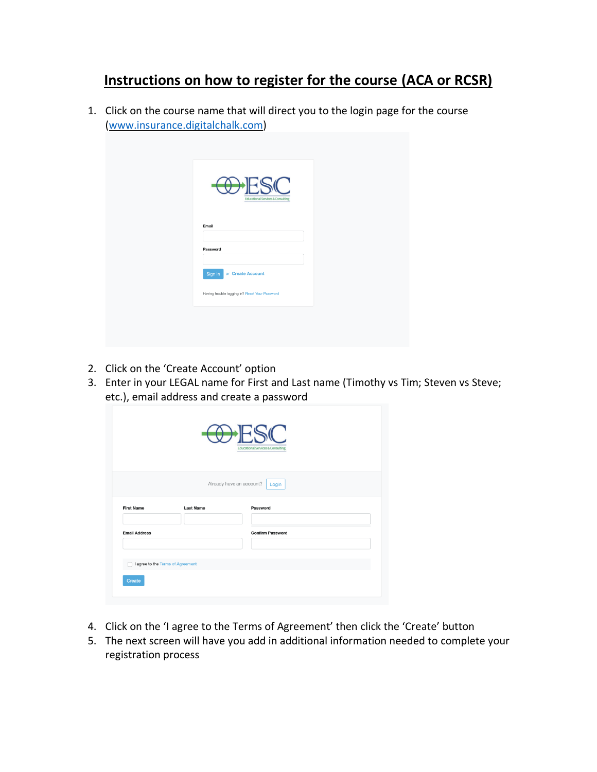## **Instructions on how to register for the course (ACA or RCSR)**

1. Click on the course name that will direct you to the login page for the course [\(www.insurance.digitalchalk.com\)](http://www.insurance.digitalchalk.com/)

| <b>FSC</b><br>$\curvearrowleft$<br><b>Educational Services &amp; Consulting</b> |  |
|---------------------------------------------------------------------------------|--|
| Email<br>Password                                                               |  |
| or Create Account<br>Sign In                                                    |  |
| Having trouble logging in? Reset Your Password                                  |  |

- 2. Click on the 'Create Account' option
- 3. Enter in your LEGAL name for First and Last name (Timothy vs Tim; Steven vs Steve; etc.), email address and create a password

|                                             |                  | <b>Educational Services &amp; Consulting</b>  |
|---------------------------------------------|------------------|-----------------------------------------------|
| <b>First Name</b>                           | <b>Last Name</b> | Already have an account?<br>Login<br>Password |
| <b>Email Address</b>                        |                  | <b>Confirm Password</b>                       |
| I agree to the Terms of Agreement<br>Create |                  |                                               |

- 4. Click on the 'I agree to the Terms of Agreement' then click the 'Create' button
- 5. The next screen will have you add in additional information needed to complete your registration process